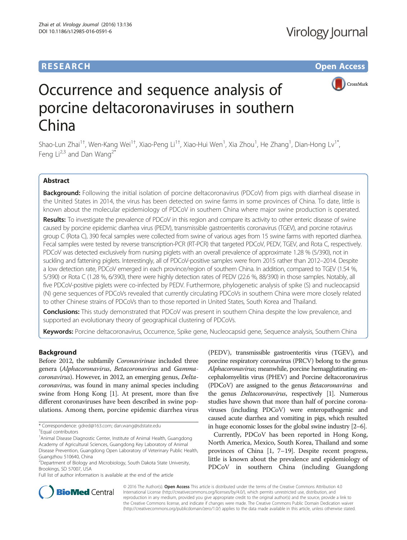# **RESEARCH CHE Open Access**



# Occurrence and sequence analysis of porcine deltacoronaviruses in southern China

Shao-Lun Zhai<sup>1†</sup>, Wen-Kang Wei<sup>1†</sup>, Xiao-Peng Li<sup>1†</sup>, Xiao-Hui Wen<sup>1</sup>, Xia Zhou<sup>1</sup>, He Zhang<sup>1</sup>, Dian-Hong Lv<sup>1\*</sup>, Feng  $Li^{2,3}$  and Dan Wang<sup>2\*</sup>

## Abstract

Background: Following the initial isolation of porcine deltacoronavirus (PDCoV) from pigs with diarrheal disease in the United States in 2014, the virus has been detected on swine farms in some provinces of China. To date, little is known about the molecular epidemiology of PDCoV in southern China where major swine production is operated.

Results: To investigate the prevalence of PDCoV in this region and compare its activity to other enteric disease of swine caused by porcine epidemic diarrhea virus (PEDV), transmissible gastroenteritis coronavirus (TGEV), and porcine rotavirus group C (Rota C), 390 fecal samples were collected from swine of various ages from 15 swine farms with reported diarrhea. Fecal samples were tested by reverse transcription-PCR (RT-PCR) that targeted PDCoV, PEDV, TGEV, and Rota C, respectively. PDCoV was detected exclusively from nursing piglets with an overall prevalence of approximate 1.28 % (5/390), not in suckling and fattening piglets. Interestingly, all of PDCoV-positive samples were from 2015 rather than 2012–2014. Despite a low detection rate, PDCoV emerged in each province/region of southern China. In addition, compared to TGEV (1.54 %, 5/390) or Rota C (1.28 %, 6/390), there were highly detection rates of PEDV (22.6 %, 88/390) in those samples. Notably, all five PDCoV-positive piglets were co-infected by PEDV. Furthermore, phylogenetic analysis of spike (S) and nucleocapsid (N) gene sequences of PDCoVs revealed that currently circulating PDCoVs in southern China were more closely related to other Chinese strains of PDCoVs than to those reported in United States, South Korea and Thailand.

Conclusions: This study demonstrated that PDCoV was present in southern China despite the low prevalence, and supported an evolutionary theory of geographical clustering of PDCoVs.

Keywords: Porcine deltacoronavirus, Occurrence, Spike gene, Nucleocapsid gene, Sequence analysis, Southern China

## Background

Before 2012, the subfamily Coronavirinae included three genera (Alphacoronavirus, Betacoronavirus and Gammacoronavirus). However, in 2012, an emerging genus, Deltacoronavirus, was found in many animal species including swine from Hong Kong [[1](#page-9-0)]. At present, more than five different coronaviruses have been described in swine populations. Among them, porcine epidemic diarrhea virus

(PEDV), transmissible gastroenteritis virus (TGEV), and porcine respiratory coronavirus (PRCV) belong to the genus Alphacoronavirus; meanwhile, porcine hemagglutinating encephalomyelitis virus (PHEV) and Porcine deltacoronavirus (PDCoV) are assigned to the genus Betacoronavirus and the genus Deltacoronavirus, respectively [\[1\]](#page-9-0). Numerous studies have shown that more than half of porcine coronaviruses (including PDCoV) were enteropathogenic and caused acute diarrhea and vomiting in pigs, which resulted in huge economic losses for the global swine industry [\[2](#page-9-0)–[6](#page-9-0)].

Currently, PDCoV has been reported in Hong Kong, North America, Mexico, South Korea, Thailand and some provinces of China [[1, 7](#page-9-0)–[19](#page-9-0)]. Despite recent progress, little is known about the prevalence and epidemiology of PDCoV in southern China (including Guangdong



© 2016 The Author(s). Open Access This article is distributed under the terms of the Creative Commons Attribution 4.0 International License [\(http://creativecommons.org/licenses/by/4.0/](http://creativecommons.org/licenses/by/4.0/)), which permits unrestricted use, distribution, and reproduction in any medium, provided you give appropriate credit to the original author(s) and the source, provide a link to the Creative Commons license, and indicate if changes were made. The Creative Commons Public Domain Dedication waiver [\(http://creativecommons.org/publicdomain/zero/1.0/](http://creativecommons.org/publicdomain/zero/1.0/)) applies to the data made available in this article, unless otherwise stated.

<sup>\*</sup> Correspondence: [gdred@163.com](mailto:gdred@163.com); [dan.wang@sdstate.edu](mailto:dan.wang@sdstate.edu) †

Equal contributors

<sup>&</sup>lt;sup>1</sup> Animal Disease Diagnostic Center, Institute of Animal Health, Guangdong Academy of Agricultural Sciences, Guangdong Key Laboratory of Animal Disease Prevention, Guangdong Open Laboratory of Veterinary Public Health, Guangzhou 510640, China

<sup>&</sup>lt;sup>2</sup> Department of Biology and Microbiology, South Dakota State University, Brookings, SD 57007, USA

Full list of author information is available at the end of the article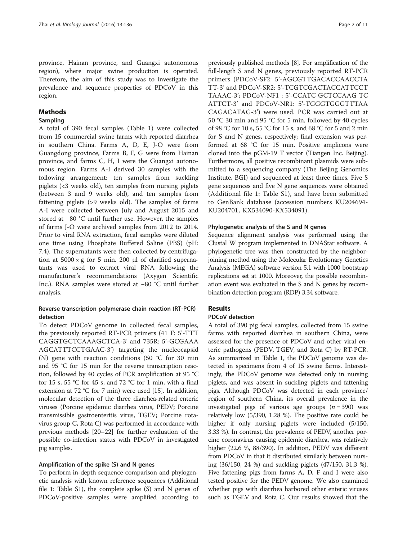province, Hainan province, and Guangxi autonomous region), where major swine production is operated. Therefore, the aim of this study was to investigate the prevalence and sequence properties of PDCoV in this region.

### Methods

#### Sampling

A total of 390 fecal samples (Table [1](#page-2-0)) were collected from 15 commercial swine farms with reported diarrhea in southern China. Farms A, D, E, J-O were from Guangdong province, Farms B, F, G were from Hainan province, and farms C, H, I were the Guangxi autonomous region. Farms A-I derived 30 samples with the following arrangement: ten samples from suckling piglets (<3 weeks old), ten samples from nursing piglets (between 3 and 9 weeks old), and ten samples from fattening piglets (>9 weeks old). The samples of farms A-I were collected between July and August 2015 and stored at −80 °C until further use. However, the samples of farms J-O were archived samples from 2012 to 2014. Prior to viral RNA extraction, fecal samples were diluted one time using Phosphate Buffered Saline (PBS) (pH: 7.4). The supernatants were then collected by centrifugation at  $5000 \times g$  for 5 min. 200 μl of clarified supernatants was used to extract viral RNA following the manufacturer's recommendations (Axygen Scientific Inc.). RNA samples were stored at −80 °C until further analysis.

## Reverse transcription polymerase chain reaction (RT-PCR) detection

To detect PDCoV genome in collected fecal samples, the previously reported RT-PCR primers (41 F: 5'-TTT CAGGTGCTCAAAGCTCA-3' and 735R: 5'-GCGAAA AGCATTTCCTGAAC-3') targeting the nucleocapsid (N) gene with reaction conditions (50 °C for 30 min and 95 °C for 15 min for the reverse transcription reaction, followed by 40 cycles of PCR amplification at 95 °C for 15 s, 55 °C for 45 s, and 72 °C for 1 min, with a final extension at 72 °C for 7 min) were used [[15](#page-9-0)]. In addition, molecular detection of the three diarrhea-related enteric viruses (Porcine epidemic diarrhea virus, PEDV; Porcine transmissible gastroenteritis virus, TGEV; Porcine rotavirus group C, Rota C) was performed in accordance with previous methods [[20](#page-9-0)–[22\]](#page-9-0) for further evaluation of the possible co-infection status with PDCoV in investigated pig samples.

## Amplification of the spike (S) and N genes

To perform in-depth sequence comparison and phylogenetic analysis with known reference sequences (Additional file [1:](#page-9-0) Table S1), the complete spike  $(S)$  and N genes of PDCoV-positive samples were amplified according to

previously published methods [\[8\]](#page-9-0). For amplification of the full-length S and N genes, previously reported RT-PCR primers (PDCoV-SF2: 5'-AGCGTTGACACCAACCTA TT-3' and PDCoV-SR2: 5'-TCGTCGACTACCATTCCT TAAAC-3'; PDCoV-NF1 : 5'-CCATC GCTCCAAG TC ATTCT-3' and PDCoV-NR1: 5'-TGGGTGGGTTTAA CAGACATAG-3') were used. PCR was carried out at 50 °C 30 min and 95 °C for 5 min, followed by 40 cycles of 98 °C for 10 s, 55 °C for 15 s, and 68 °C for 5 and 2 min for S and N genes, respectively; final extension was performed at 68 °C for 15 min. Positive amplicons were cloned into the pGM-19 T vector (Tiangen Inc. Beijing). Furthermore, all positive recombinant plasmids were submitted to a sequencing company (The Beijing Genomics Institute, BGI) and sequenced at least three times. Five S gene sequences and five N gene sequences were obtained (Additional file [1](#page-9-0): Table S1), and have been submitted to GenBank database (accession numbers KU204694- KU204701, KX534090-KX534091).

#### Phylogenetic analysis of the S and N genes

Sequence alignment analysis was performed using the Clustal W program implemented in DNAStar software. A phylogenetic tree was then constructed by the neighborjoining method using the Molecular Evolutionary Genetics Analysis (MEGA) software version 5.1 with 1000 bootstrap replications set at 1000. Moreover, the possible recombination event was evaluated in the S and N genes by recombination detection program (RDP) 3.34 software.

## Results

## PDCoV detection

A total of 390 pig fecal samples, collected from 15 swine farms with reported diarrhea in southern China, were assessed for the presence of PDCoV and other viral enteric pathogens (PEDV, TGEV, and Rota C) by RT-PCR. As summarized in Table [1](#page-2-0), the PDCoV genome was detected in specimens from 4 of 15 swine farms. Interestingly, the PDCoV genome was detected only in nursing piglets, and was absent in suckling piglets and fattening pigs. Although PDCoV was detected in each province/ region of southern China, its overall prevalence in the investigated pigs of various age groups  $(n = 390)$  was relatively low (5/390, 1.28 %). The positive rate could be higher if only nursing piglets were included (5/150, 3.33 %). In contrast, the prevalence of PEDV, another porcine coronavirus causing epidemic diarrhea, was relatively higher (22.6 %, 88/390). In addition, PEDV was different from PDCoV in that it distributed similarly between nursing (36/150, 24 %) and suckling piglets (47/150, 31.3 %). Five fattening pigs from farms A, D, F and I were also tested positive for the PEDV genome. We also examined whether pigs with diarrhea harbored other enteric viruses such as TGEV and Rota C. Our results showed that the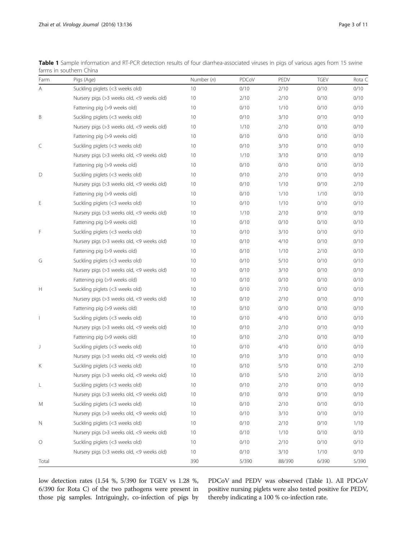| Farm    | Pigs (Age)                                | Number $(n)$    | PDCoV | PEDV   | <b>TGEV</b> | Rota C |
|---------|-------------------------------------------|-----------------|-------|--------|-------------|--------|
| Α       | Suckling piglets (<3 weeks old)           | 10 <sup>°</sup> | 0/10  | 2/10   | 0/10        | 0/10   |
|         | Nursery pigs (>3 weeks old, <9 weeks old) | 10              | 2/10  | 2/10   | 0/10        | 0/10   |
|         | Fattening pig (>9 weeks old)              | 10              | 0/10  | 1/10   | 0/10        | 0/10   |
| B       | Suckling piglets (<3 weeks old)           | 10              | 0/10  | 3/10   | 0/10        | 0/10   |
|         | Nursery pigs (>3 weeks old, <9 weeks old) | 10              | 1/10  | 2/10   | 0/10        | 0/10   |
|         | Fattening pig (>9 weeks old)              | 10              | 0/10  | 0/10   | 0/10        | 0/10   |
| C       | Suckling piglets (<3 weeks old)           | 10              | 0/10  | 3/10   | 0/10        | 0/10   |
|         | Nursery pigs (>3 weeks old, <9 weeks old) | 10              | 1/10  | 3/10   | 0/10        | 0/10   |
|         | Fattening pig (>9 weeks old)              | 10              | 0/10  | 0/10   | 0/10        | 0/10   |
| D       | Suckling piglets (<3 weeks old)           | 10              | 0/10  | 2/10   | 0/10        | 0/10   |
|         | Nursery pigs (>3 weeks old, <9 weeks old) | 10              | 0/10  | 1/10   | 0/10        | 2/10   |
|         | Fattening pig (>9 weeks old)              | 10              | 0/10  | 1/10   | 1/10        | 0/10   |
| Ε       | Suckling piglets (<3 weeks old)           | 10              | 0/10  | 1/10   | 0/10        | 0/10   |
|         | Nursery pigs (>3 weeks old, <9 weeks old) | 10              | 1/10  | 2/10   | 0/10        | 0/10   |
|         | Fattening pig (>9 weeks old)              | 10              | 0/10  | 0/10   | 0/10        | 0/10   |
| F       | Suckling piglets (<3 weeks old)           | 10              | 0/10  | 3/10   | 0/10        | 0/10   |
|         | Nursery pigs (>3 weeks old, <9 weeks old) | 10              | 0/10  | 4/10   | 0/10        | 0/10   |
|         | Fattening pig (>9 weeks old)              | 10              | 0/10  | 1/10   | 2/10        | 0/10   |
| G       | Suckling piglets (<3 weeks old)           | 10              | 0/10  | 5/10   | 0/10        | 0/10   |
|         | Nursery pigs (>3 weeks old, <9 weeks old) | 10              | 0/10  | 3/10   | 0/10        | 0/10   |
|         | Fattening pig (>9 weeks old)              | 10              | 0/10  | 0/10   | 0/10        | 0/10   |
| H       | Suckling piglets (<3 weeks old)           | 10              | 0/10  | 7/10   | 0/10        | 0/10   |
|         | Nursery pigs (>3 weeks old, <9 weeks old) | 10              | 0/10  | 2/10   | 0/10        | 0/10   |
|         | Fattening pig (>9 weeks old)              | 10              | 0/10  | 0/10   | 0/10        | 0/10   |
| I       | Suckling piglets (<3 weeks old)           | 10              | 0/10  | 4/10   | 0/10        | 0/10   |
|         | Nursery pigs (>3 weeks old, <9 weeks old) | 10              | 0/10  | 2/10   | 0/10        | 0/10   |
|         | Fattening pig (>9 weeks old)              | 10              | 0/10  | 2/10   | 0/10        | 0/10   |
| J       | Suckling piglets (<3 weeks old)           | 10              | 0/10  | 4/10   | 0/10        | 0/10   |
|         | Nursery pigs (>3 weeks old, <9 weeks old) | 10              | 0/10  | 3/10   | 0/10        | 0/10   |
| Κ       | Suckling piglets (<3 weeks old)           | 10              | 0/10  | 5/10   | 0/10        | 2/10   |
|         | Nursery pigs (>3 weeks old, <9 weeks old) | 10              | 0/10  | 5/10   | 2/10        | 0/10   |
| L       | Suckling piglets (<3 weeks old)           | 10              | 0/10  | 2/10   | 0/10        | 0/10   |
|         | Nursery pigs (>3 weeks old, <9 weeks old) | 10              | 0/10  | 0/10   | 0/10        | 0/10   |
| M       | Suckling piglets (<3 weeks old)           | 10              | 0/10  | 2/10   | 0/10        | 0/10   |
|         | Nursery pigs (>3 weeks old, <9 weeks old) | 10              | 0/10  | 3/10   | 0/10        | 0/10   |
| N       | Suckling piglets (<3 weeks old)           | 10              | 0/10  | 2/10   | 0/10        | 1/10   |
|         | Nursery pigs (>3 weeks old, <9 weeks old) | 10              | 0/10  | 1/10   | 0/10        | 0/10   |
| $\circ$ | Suckling piglets (<3 weeks old)           | 10              | 0/10  | 2/10   | 0/10        | 0/10   |
|         | Nursery pigs (>3 weeks old, <9 weeks old) | 10 <sup>°</sup> | 0/10  | 3/10   | 1/10        | 0/10   |
| Total   |                                           | 390             | 5/390 | 88/390 | 6/390       | 5/390  |

<span id="page-2-0"></span>Table 1 Sample information and RT-PCR detection results of four diarrhea-associated viruses in pigs of various ages from 15 swine farms in southern China

low detection rates (1.54 %, 5/390 for TGEV vs 1.28 %, 6/390 for Rota C) of the two pathogens were present in those pig samples. Intriguingly, co-infection of pigs by PDCoV and PEDV was observed (Table 1). All PDCoV positive nursing piglets were also tested positive for PEDV, thereby indicating a 100 % co-infection rate.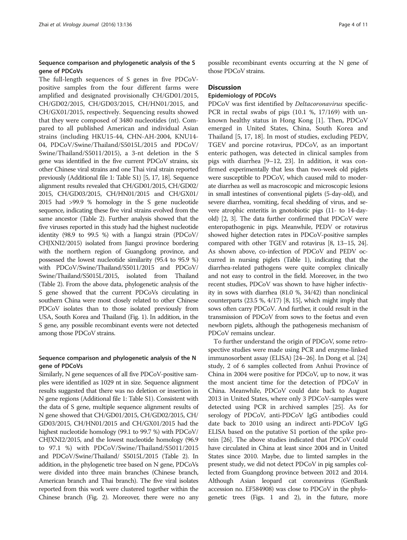### Sequence comparison and phylogenetic analysis of the S gene of PDCoVs

The full-length sequences of S genes in five PDCoVpositive samples from the four different farms were amplified and designated provisionally CH/GD01/2015, CH/GD02/2015, CH/GD03/2015, CH/HN01/2015, and CH/GX01/2015, respectively. Sequencing results showed that they were composed of 3480 nucleotides (nt). Compared to all published American and individual Asian strains (including HKU15-44, CHN-AH-2004, KNU14- 04, PDCoV/Swine/Thailand/S5015L/2015 and PDCoV/ Swine/Thailand/S5011/2015), a 3-nt deletion in the S gene was identified in the five current PDCoV strains, six other Chinese viral strains and one Thai viral strain reported previously (Additional file [1](#page-9-0): Table S1) [\[5](#page-9-0), [17](#page-9-0), [18\]](#page-9-0). Sequence alignment results revealed that CH/GD01/2015, CH/GD02/ 2015, CH/GD03/2015, CH/HN01/2015 and CH/GX01/ 2015 had >99.9 % homology in the S gene nucleotide sequence, indicating these five viral strains evolved from the same ancestor (Table [2\)](#page-4-0). Further analysis showed that the five viruses reported in this study had the highest nucleotide identity (98.9 to 99.5 %) with a Jiangxi strain (PDCoV/ CHJXNI2/2015) isolated from Jiangxi province bordering with the northern region of Guangdong province, and possessed the lowest nucleotide similarity (95.4 to 95.9 %) with PDCoV/Swine/Thailand/S5011/2015 and PDCoV/ Swine/Thailand/S5015L/2015, isolated from Thailand (Table [2](#page-4-0)). From the above data, phylogenetic analysis of the S gene showed that the current PDCoVs circulating in southern China were most closely related to other Chinese PDCoV isolates than to those isolated previously from USA, South Korea and Thailand (Fig. [1\)](#page-6-0). In addition, in the S gene, any possible recombinant events were not detected among those PDCoV strains.

## Sequence comparison and phylogenetic analysis of the N gene of PDCoVs

Similarly, N gene sequences of all five PDCoV-positive samples were identified as 1029 nt in size. Sequence alignment results suggested that there was no deletion or insertion in N gene regions (Additional file [1:](#page-9-0) Table S1). Consistent with the data of S gene, multiple sequence alignment results of N gene showed that CH/GD01/2015, CH/GD02/2015, CH/ GD03/2015, CH/HN01/2015 and CH/GX01/2015 had the highest nucleotide homology (99.1 to 99.7 %) with PDCoV/ CHJXNI2/2015, and the lowest nucleotide homology (96.9 to 97.1 %) with PDCoV/Swine/Thailand/S5011/2015 and PDCoV/Swine/Thailand/ S5015L/2015 (Table [2\)](#page-4-0). In addition, in the phylogenetic tree based on N gene, PDCoVs were divided into three main branches (Chinese branch, American branch and Thai branch). The five viral isolates reported from this work were clustered together within the Chinese branch (Fig. [2](#page-7-0)). Moreover, there were no any possible recombinant events occurring at the N gene of those PDCoV strains.

#### **Discussion**

## Epidemiology of PDCoVs

PDCoV was first identified by Deltacoronavirus specific-PCR in rectal swabs of pigs (10.1 %, 17/169) with unknown healthy status in Hong Kong [\[1](#page-9-0)]. Then, PDCoV emerged in United States, China, South Korea and Thailand [\[5](#page-9-0), [17](#page-9-0), [18](#page-9-0)]. In most of studies, excluding PEDV, TGEV and porcine rotavirus, PDCoV, as an important enteric pathogen, was detected in clinical samples from pigs with diarrhea [\[9](#page-9-0)–[12](#page-9-0), [23\]](#page-9-0). In addition, it was confirmed experimentally that less than two-week old piglets were susceptible to PDCoV, which caused mild to moderate diarrhea as well as macroscopic and microscopic lesions in small intestines of conventional piglets (5-day-old), and severe diarrhea, vomiting, fecal shedding of virus, and severe atrophic enteritis in gnotobiotic pigs (11- to 14-dayold) [\[2, 3](#page-9-0)]. The data further confirmed that PDCoV were enteropathogenic in pigs. Meanwhile, PEDV or rotavirus showed higher detection rates in PDCoV-positive samples compared with other TGEV and rotavirus [[8](#page-9-0), [13](#page-9-0)–[15, 24](#page-9-0)]. As shown above, co-infection of PDCoV and PEDV occurred in nursing piglets (Table [1](#page-2-0)), indicating that the diarrhea-related pathogens were quite complex clinically and not easy to control in the field. Moreover, in the two recent studies, PDCoV was shown to have higher infectivity in sows with diarrhea (81.0 %, 34/42) than nonclinical counterparts (23.5 %, 4/17) [\[8, 15](#page-9-0)], which might imply that sows often carry PDCoV. And further, it could result in the transmission of PDCoV from sows to the foetus and even newborn piglets, although the pathogenesis mechanism of PDCoV remains unclear.

To further understand the origin of PDCoV, some retrospective studies were made using PCR and enzyme-linked immunosorbent assay (ELISA) [\[24](#page-9-0)–[26\]](#page-9-0). In Dong et al. [[24](#page-9-0)] study, 2 of 6 samples collected from Anhui Province of China in 2004 were positive for PDCoV, up to now, it was the most ancient time for the detection of PDCoV in China. Meanwhile, PDCoV could date back to August 2013 in United States, where only 3 PDCoV-samples were detected using PCR in archived samples [[25](#page-9-0)]. As for serology of PDCoV, anti-PDCoV IgG antibodies could date back to 2010 using an indirect anti-PDCoV IgG ELISA based on the putative S1 portion of the spike protein [[26](#page-9-0)]. The above studies indicated that PDCoV could have circulated in China at least since 2004 and in United States since 2010. Maybe, due to limted samples in the present study, we did not detect PDCoV in pig samples collected from Guangdong province between 2012 and 2014. Although Asian leopard cat coronavirus (GenBank accession no. EF584908) was close to PDCoV in the phylogenetic trees (Figs. [1](#page-6-0) and [2](#page-7-0)), in the future, more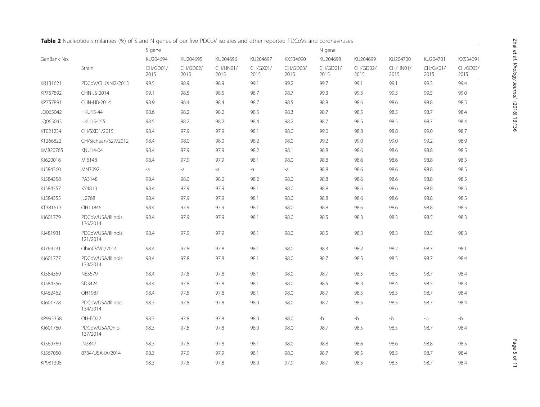|             |                                | S gene                       |                              |                              |                              | N gene                       |                              |                              |                              |                              |                              |
|-------------|--------------------------------|------------------------------|------------------------------|------------------------------|------------------------------|------------------------------|------------------------------|------------------------------|------------------------------|------------------------------|------------------------------|
| GenBank No. | Strain                         | KU204694<br>CH/GD01/<br>2015 | KU204695<br>CH/GD02/<br>2015 | KU204696<br>CH/HN01/<br>2015 | KU204697<br>CH/GX01/<br>2015 | KX534090<br>CH/GD03/<br>2015 | KU204698<br>CH/GD01/<br>2015 | KU204699<br>CH/GD02/<br>2015 | KU204700<br>CH/HN01/<br>2015 | KU204701<br>CH/GX01/<br>2015 | KX534091<br>CH/GD03/<br>2015 |
|             |                                |                              |                              |                              |                              |                              |                              |                              |                              |                              |                              |
| KR131621    | PDCoV/CHJXNI2/2015             | 99.5                         | 98.9                         | 98.9                         | 99.1                         | 99.2                         | 99.7                         | 99.1                         | 99.1                         | 99.3                         | 99.4                         |
| KP757892    | CHN-JS-2014                    | 99.1                         | 98.5                         | 98.5                         | 98.7                         | 98.7                         | 99.3                         | 99.3                         | 99.3                         | 99.5                         | 99.0                         |
| KP757891    | CHN-HB-2014                    | 98.9                         | 98.4                         | 98.4                         | 98.7                         | 98.5                         | 98.8                         | 98.6                         | 98.6                         | 98.8                         | 98.5                         |
| JQ065042    | <b>HKU15-44</b>                | 98.6                         | 98.2                         | 98.2                         | 98.5                         | 98.3                         | 98.7                         | 98.5                         | 98.5                         | 98.7                         | 98.4                         |
| JQ065043    | <b>HKU15-155</b>               | 98.5                         | 98.2                         | 98.2                         | 98.4                         | 98.2                         | 98.7                         | 98.5                         | 98.5                         | 98.7                         | 98.4                         |
| KT021234    | CH/SXD1/2015                   | 98.4                         | 97.9                         | 97.9                         | 98.1                         | 98.0                         | 99.0                         | 98.8                         | 98.8                         | 99.0                         | 98.7                         |
| KT266822    | CH/Sichuan/S27/2012            | 98.4                         | 98.0                         | 98.0                         | 98.2                         | 98.0                         | 99.2                         | 99.0                         | 99.0                         | 99.2                         | 98.9                         |
| KM820765    | KNU14-04                       | 98.4                         | 97.9                         | 97.9                         | 98.2                         | 98.1                         | 98.8                         | 98.6                         | 98.6                         | 98.8                         | 98.5                         |
| KJ620016    | MI6148                         | 98.4                         | 97.9                         | 97.9                         | 98.1                         | 98.0                         | 98.8                         | 98.6                         | 98.6                         | 98.8                         | 98.5                         |
| KJ584360    | MN3092                         | -a                           | $-a$                         | -a                           | -a                           | -a                           | 98.8                         | 98.6                         | 98.6                         | 98.8                         | 98.5                         |
| KJ584358    | PA3148                         | 98.4                         | 98.0                         | 98.0                         | 98.2                         | 98.0                         | 98.8                         | 98.6                         | 98.6                         | 98.8                         | 98.5                         |
| KJ584357    | KY4813                         | 98.4                         | 97.9                         | 97.9                         | 98.1                         | 98.0                         | 98.8                         | 98.6                         | 98.6                         | 98.8                         | 98.5                         |
| KJ584355    | IL2768                         | 98.4                         | 97.9                         | 97.9                         | 98.1                         | 98.0                         | 98.8                         | 98.6                         | 98.6                         | 98.8                         | 98.5                         |
| KT381613    | OH11846                        | 98.4                         | 97.9                         | 97.9                         | 98.1                         | 98.0                         | 98.8                         | 98.6                         | 98.6                         | 98.8                         | 98.5                         |
| KJ601779    | PDCoV/USA/Illinois<br>136/2014 | 98.4                         | 97.9                         | 97.9                         | 98.1                         | 98.0                         | 98.5                         | 98.3                         | 98.3                         | 98.5                         | 98.3                         |
| KJ481931    | PDCoV/USA/Illinois<br>121/2014 | 98.4                         | 97.9                         | 97.9                         | 98.1                         | 98.0                         | 98.5                         | 98.3                         | 98.3                         | 98.5                         | 98.3                         |
| KJ769231    | OhioCVM1/2014                  | 98.4                         | 97.8                         | 97.8                         | 98.1                         | 98.0                         | 98.3                         | 98.2                         | 98.2                         | 98.3                         | 98.1                         |
| KJ601777    | PDCoV/USA/Illinois<br>133/2014 | 98.4                         | 97.8                         | 97.8                         | 98.1                         | 98.0                         | 98.7                         | 98.5                         | 98.5                         | 98.7                         | 98.4                         |
| KJ584359    | <b>NE3579</b>                  | 98.4                         | 97.8                         | 97.8                         | 98.1                         | 98.0                         | 98.7                         | 98.5                         | 98.5                         | 98.7                         | 98.4                         |
| KJ584356    | SD3424                         | 98.4                         | 97.8                         | 97.8                         | 98.1                         | 98.0                         | 98.5                         | 98.3                         | 98.4                         | 98.5                         | 98.3                         |
| KJ462462    | OH1987                         | 98.4                         | 97.8                         | 97.8                         | 98.1                         | 98.0                         | 98.7                         | 98.5                         | 98.5                         | 98.7                         | 98.4                         |
| KJ601778    | PDCoV/USA/Illinois<br>134/2014 | 98.3                         | 97.8                         | 97.8                         | 98.0                         | 98.0                         | 98.7                         | 98.5                         | 98.5                         | 98.7                         | 98.4                         |
| KP995358    | OH-FD22                        | 98.3                         | 97.8                         | 97.8                         | 98.0                         | 98.0                         | $-b$                         | -b                           | $-b$                         | $-b$                         | $-b$                         |
| KJ601780    | PDCoV/USA/Ohio<br>137/2014     | 98.3                         | 97.8                         | 97.8                         | 98.0                         | 98.0                         | 98.7                         | 98.5                         | 98.5                         | 98.7                         | 98.4                         |
| KJ569769    | <b>IN2847</b>                  | 98.3                         | 97.8                         | 97.8                         | 98.1                         | 98.0                         | 98.8                         | 98.6                         | 98.6                         | 98.8                         | 98.5                         |
| KJ567050    | 8734/USA-IA/2014               | 98.3                         | 97.9                         | 97.9                         | 98.1                         | 98.0                         | 98.7                         | 98.5                         | 98.5                         | 98.7                         | 98.4                         |
| KP981395    |                                | 98.3                         | 97.8                         | 97.8                         | 98.0                         | 97.9                         | 98.7                         | 98.5                         | 98.5                         | 98.7                         | 98.4                         |

<span id="page-4-0"></span>Table 2 Nucleotide similarities (%) of S and N genes of our five PDCoV isolates and other reported PDCoVs and coronaviruses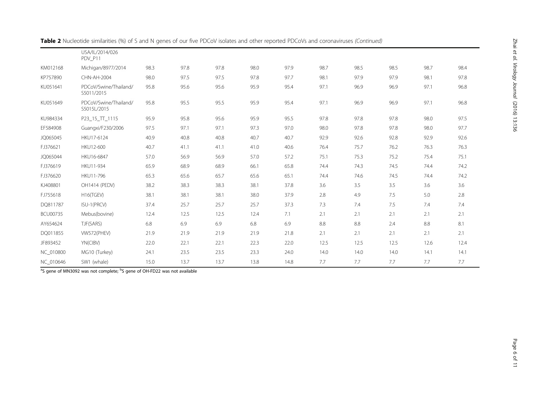|                 | USA/IL/2014/026<br>PDV P11           |      |      |      |      |      |      |      |      |      |      |
|-----------------|--------------------------------------|------|------|------|------|------|------|------|------|------|------|
| KM012168        | Michigan/8977/2014                   | 98.3 | 97.8 | 97.8 | 98.0 | 97.9 | 98.7 | 98.5 | 98.5 | 98.7 | 98.4 |
| KP757890        | CHN-AH-2004                          | 98.0 | 97.5 | 97.5 | 97.8 | 97.7 | 98.1 | 97.9 | 97.9 | 98.1 | 97.8 |
| KU051641        | PDCoV/Swine/Thailand/<br>S5011/2015  | 95.8 | 95.6 | 95.6 | 95.9 | 95.4 | 97.1 | 96.9 | 96.9 | 97.1 | 96.8 |
| KU051649        | PDCoV/Swine/Thailand/<br>S5015L/2015 | 95.8 | 95.5 | 95.5 | 95.9 | 95.4 | 97.1 | 96.9 | 96.9 | 97.1 | 96.8 |
| KU984334        | P23_15_TT_1115                       | 95.9 | 95.8 | 95.6 | 95.9 | 95.5 | 97.8 | 97.8 | 97.8 | 98.0 | 97.5 |
| EF584908        | Guangxi/F230/2006                    | 97.5 | 97.1 | 97.1 | 97.3 | 97.0 | 98.0 | 97.8 | 97.8 | 98.0 | 97.7 |
| JQ065045        | HKU17-6124                           | 40.9 | 40.8 | 40.8 | 40.7 | 40.7 | 92.9 | 92.6 | 92.8 | 92.9 | 92.6 |
| FJ376621        | HKU12-600                            | 40.7 | 41.1 | 41.1 | 41.0 | 40.6 | 76.4 | 75.7 | 76.2 | 76.3 | 76.3 |
| JQ065044        | HKU16-6847                           | 57.0 | 56.9 | 56.9 | 57.0 | 57.2 | 75.1 | 75.3 | 75.2 | 75.4 | 75.1 |
| FJ376619        | HKU11-934                            | 65.9 | 68.9 | 68.9 | 66.1 | 65.8 | 74.4 | 74.3 | 74.5 | 74.4 | 74.2 |
| FJ376620        | HKU11-796                            | 65.3 | 65.6 | 65.7 | 65.6 | 65.1 | 74.4 | 74.6 | 74.5 | 74.4 | 74.2 |
| KJ408801        | OH1414 (PEDV)                        | 38.2 | 38.3 | 38.3 | 38.1 | 37.8 | 3.6  | 3.5  | 3.5  | 3.6  | 3.6  |
| FJ755618        | H16(TGEV)                            | 38.1 | 38.1 | 38.1 | 38.0 | 37.9 | 2.8  | 4.9  | 7.5  | 5.0  | 2.8  |
| DQ811787        | ISU-1(PRCV)                          | 37.4 | 25.7 | 25.7 | 25.7 | 37.3 | 7.3  | 7.4  | 7.5  | 7.4  | 7.4  |
| <b>BCU00735</b> | Mebus(bovine)                        | 12.4 | 12.5 | 12.5 | 12.4 | 7.1  | 2.1  | 2.1  | 2.1  | 2.1  | 2.1  |
| AY654624        | TJF(SARS)                            | 6.8  | 6.9  | 6.9  | 6.8  | 6.9  | 8.8  | 8.8  | 2.4  | 8.8  | 8.1  |
| DQ011855        | VW572(PHEV)                          | 21.9 | 21.9 | 21.9 | 21.9 | 21.8 | 2.1  | 2.1  | 2.1  | 2.1  | 2.1  |
| JF893452        | YN(CIBV)                             | 22.0 | 22.1 | 22.1 | 22.3 | 22.0 | 12.5 | 12.5 | 12.5 | 12.6 | 12.4 |
| NC_010800       | MG10 (Turkey)                        | 24.1 | 23.5 | 23.5 | 23.3 | 24.0 | 14.0 | 14.0 | 14.0 | 14.1 | 14.1 |
| NC_010646       | SW1 (whale)                          | 15.0 | 13.7 | 13.7 | 13.8 | 14.8 | 7.7  | 7.7  | 7.7  | 7.7  | 7.7  |

Table 2 Nucleotide similarities (%) of S and N genes of our five PDCoV isolates and other reported PDCoVs and coronaviruses (Continued)

<sup>a</sup>S gene of MN3092 was not complete; <sup>b</sup>S gene of OH-FD22 was not available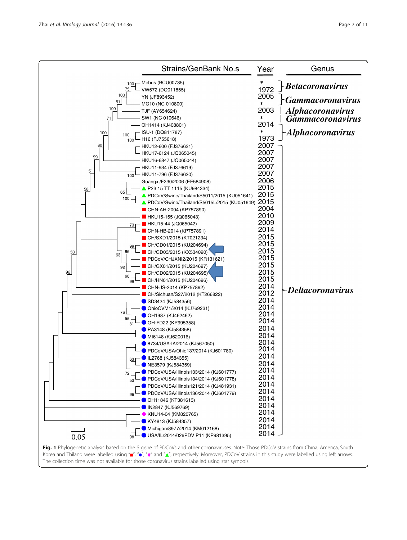<span id="page-6-0"></span>

| <b>Strains/GenBank No.s</b>                                                                                                                                         | Year                     | Genus                                              |
|---------------------------------------------------------------------------------------------------------------------------------------------------------------------|--------------------------|----------------------------------------------------|
| - Mebus (BCU00735)<br>100<br>75<br>VW572 (DQ011855)                                                                                                                 | 1972                     | <b>Betacoronavirus</b>                             |
| 100<br>YN (JF893452)<br>51<br>MG10 (NC 010800)                                                                                                                      | 2005                     | <b>Gammacoronavirus</b>                            |
| 100<br>TJF (AY654624)<br>SW1 (NC 010646)<br>71                                                                                                                      | 2003<br>*                | <b>Alphacoronavirus</b><br><b>Gammacoronavirus</b> |
| OH1414 (KJ408801)<br>· ISU-1 (DQ811787)<br>100<br>100                                                                                                               | 2014<br>1973             | <b>Alphacoronavirus</b>                            |
| - H16 (FJ755618)<br>100<br>80<br>- HKU12-600 (FJ376621)<br>HKU17-6124 (JQ065045)                                                                                    | 2007<br>2007             |                                                    |
| 99<br>HKU16-6847 (JQ065044)<br>HKU11-934 (FJ376619)<br>51                                                                                                           | 2007<br>2007             |                                                    |
| HKU11-796 (FJ376620)<br>100<br>Guangxi/F230/2006 (EF584908)                                                                                                         | 2007<br>2006<br>2015     |                                                    |
| ▲ P23 15 TT 1115 (KU984334)<br>58<br>65<br>PDCoV/Swine/Thailand/S5011/2015 (KU051641)<br>100<br>PDCoV/Swine/Thailand/S5015L/2015 (KU051649)                         | 2015<br>2015             |                                                    |
| CHN-AH-2004 (KP757890)<br>HKU15-155 (JQ065043)                                                                                                                      | 2004<br>2010             |                                                    |
| HKU15-44 (JQ065042)<br>73<br>CHN-HB-2014 (KP757891)                                                                                                                 | 2009<br>2014<br>2015     |                                                    |
| CH/SXD1/2015 (KT021234)<br>CH/GD01/2015 (KU204694)<br>99<br>96<br>CH/GD03/2015 (KX534090)<br>53                                                                     | 2015<br>2015             |                                                    |
| 63<br>PDCoV/CHJXNI2/2015 (KR131621)<br>CH/GX01/2015 (KU204697)<br>92                                                                                                | 2015<br>2015             |                                                    |
| 96<br>CH/GD02/2015 (KU204695)<br>96<br>CH/HN01/2015 (KU204696)<br>99                                                                                                | 2015<br>2015<br>2014     |                                                    |
| CHN-JS-2014 (KP757892)<br>CH/Sichuan/S27/2012 (KT266822)<br>SD3424 (KJ584356)                                                                                       | 2012<br>2014             | -Deltacoronavirus                                  |
| OhioCVM1/2014 (KJ769231)<br>76<br>OH1987 (KJ462462)<br>55                                                                                                           | 2014<br>2014             |                                                    |
| OH-FD22 (KP995358)<br>81<br>PA3148 (KJ584358)                                                                                                                       | 2014<br>2014<br>2014     |                                                    |
| MI6148 (KJ620016)<br>8734/USA-IA/2014 (KJ567050)<br>PDCoV/USA/Ohio137/2014 (KJ601780)                                                                               | 2014<br>2014             |                                                    |
| L2768 (KJ584355)<br>63<br>└─ ● NE3579 (KJ584359)                                                                                                                    | 2014<br>2014             |                                                    |
| PDCoV/USA/Illinois133/2014 (KJ601777)<br>72<br>PDCoV/USA/Illinois134/2014 (KJ601778)<br>53                                                                          | 2014<br>2014<br>2014     |                                                    |
| PDCoV/USA/Illinois121/2014 (KJ481931)<br>PDCoV/USA/Illinois136/2014 (KJ601779)<br>96<br>OH11846 (KT381613)                                                          | 2014<br>2014             |                                                    |
| <b>DIN2847 (KJ569769)</b><br>◆ KNU14-04 (KM820765)                                                                                                                  | 2014<br>2014             |                                                    |
| KY4813 (KJ584357)<br>Michigan/8977/2014 (KM012168)<br>USA/IL/2014/026PDV P11 (KP981395)                                                                             | 2014<br>2014<br>$2014 -$ |                                                    |
| 0.05<br>98 <sup>L</sup><br>Fig. 1 Phylogenetic analysis based on the S gene of PDCoVs and other coronaviruses. Note: Those PDCoV strains from China, America, South |                          |                                                    |

Korea and Thiland were labelled using " $\blacksquare$ ", " $\bullet$ ",  $\bullet$ ", and " $\blacktriangle$ ", respectively. Moreover, PDCoV strains in this study were labelled using left arrows. The collection time was not available for those coronavirus strains labelled using star symbols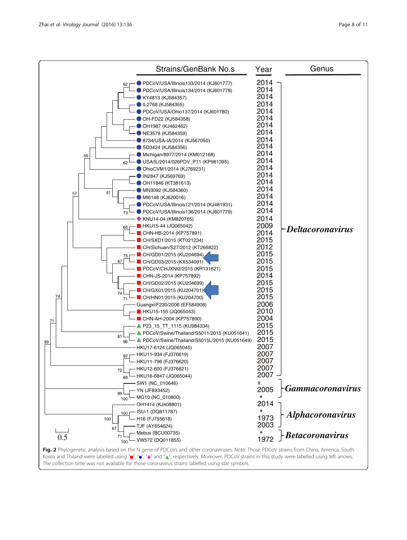<span id="page-7-0"></span>

| <b>Strains/GenBank No.s</b>                                                                                                                                                                                                                                                                                                                                                                                                                                                                                                                                                                                                                                                                                                                                                                                                                                                                                                                                                                                                                                                                                                                                                                                                                                                                                                                                            | Year                                                                                                                                                                                                                                                                                                                                             | Genus                   |
|------------------------------------------------------------------------------------------------------------------------------------------------------------------------------------------------------------------------------------------------------------------------------------------------------------------------------------------------------------------------------------------------------------------------------------------------------------------------------------------------------------------------------------------------------------------------------------------------------------------------------------------------------------------------------------------------------------------------------------------------------------------------------------------------------------------------------------------------------------------------------------------------------------------------------------------------------------------------------------------------------------------------------------------------------------------------------------------------------------------------------------------------------------------------------------------------------------------------------------------------------------------------------------------------------------------------------------------------------------------------|--------------------------------------------------------------------------------------------------------------------------------------------------------------------------------------------------------------------------------------------------------------------------------------------------------------------------------------------------|-------------------------|
| PDCoV/USA/Illinois133/2014 (KJ601777)<br>62<br>PDCoV/USA/Illinois134/2014 (KJ601778)<br>KY4813 (KJ584357)<br>L2768 (KJ584355)<br>PDCoV/USA/Ohio137/2014 (KJ601780)<br>OH-FD22 (KJ584358)<br>OH1987 (KJ462462)<br>NE3579 (KJ584359)<br>8734/USA-IA/2014 (KJ567050)<br>SD3424 (KJ584356)<br>Michigan/8977/2014 (KM012168)<br>55<br>USA/IL/2014/026PDV_P11 (KP981395)<br>62<br>OhioCVM1/2014 (KJ769231)<br>IN2847 (KJ569769)<br>OH11846 (KT381613)<br>MN3092 (KJ584360)<br>51<br>57<br>MI6148 (KJ620016)<br>PDCoV/USA/Illinois121/2014 (KJ481931)<br>PDCoV/USA/Illinois136/2014 (KJ601779)<br>73<br>◆ KNU14-04 (KM820765)<br><b>HKU15-44 (JQ065042)</b><br>65<br>CHN-HB-2014 (KP757891)<br>CH/SXD1/2015 (KT021234)<br>CH/Sichuan/S27/2012 (KT266822)<br>CH/GD01/2015 (KU204694)<br>75<br>87<br>CH/GD03/2015 (KX534091)<br>PDCoV/CHJXNI2/2015 (KR131621)<br>CHN-JS-2014 (KP757892)<br>CH/GD02/2015 (KU204699)<br>CH/GX01/2015 (KU204701)<br>74<br>74<br>CH/HN01/2015 (KU204700)<br>71<br>Guangxi/F230/2006 (EF584908)<br><b>HKU15-155 (JQ065043)</b><br>CHN-AH-2004 (KP757890)<br>71<br>▲ P23_15_TT_1115 (KU984334)<br>PDCoV/Swine/Thailand/S5011/2015 (KU051641)<br>81<br>PDCoV/Swine/Thailand/S5015L/2015 (KU051649)<br>96<br>99<br>HKU17-6124 (JQ065045)<br>- HKU11-934 (FJ376619)<br>HKU11-796 (FJ376620)<br>HKU12-600 (FJ376621)<br>72<br>HKU16-6847 (JQ065044)<br>69 | $2014 -$<br>2014<br>2014<br>2014<br>2014<br>2014<br>2014<br>2014<br>2014<br>2014<br>2014<br>2014<br>2014<br>2014<br>2014<br>2014<br>2014<br>2014<br>2014<br>2014<br>2009<br>2014<br>2015<br>2012<br>2015<br>2015<br>2015<br>2014<br>2015<br>2015<br>2015<br>2006<br>2010<br>2004<br>2015<br>2015<br>2015<br>2007<br>2007<br>2007<br>2007<br>2007 | -Deltacoronavirus       |
| SW1 (NC_010646)<br>- YN (JF893452)<br>99                                                                                                                                                                                                                                                                                                                                                                                                                                                                                                                                                                                                                                                                                                                                                                                                                                                                                                                                                                                                                                                                                                                                                                                                                                                                                                                               | ∗<br>2005<br>$\star$                                                                                                                                                                                                                                                                                                                             | <b>Gammacoronavirus</b> |
| MG10 (NC_010800)<br>100<br>OH1414 (KJ408801)<br>- ISU-1 (DQ811787)<br>100<br>100<br>H16 (FJ755618)<br>TJF (AY654624)<br>87                                                                                                                                                                                                                                                                                                                                                                                                                                                                                                                                                                                                                                                                                                                                                                                                                                                                                                                                                                                                                                                                                                                                                                                                                                             | 2014<br>$\ast$<br>1973<br>2003                                                                                                                                                                                                                                                                                                                   | Alphacoronavirus        |
| Mebus (BCU00735)<br>0.5<br>VW572 (DQ011855)<br>100                                                                                                                                                                                                                                                                                                                                                                                                                                                                                                                                                                                                                                                                                                                                                                                                                                                                                                                                                                                                                                                                                                                                                                                                                                                                                                                     | $*$ 1972                                                                                                                                                                                                                                                                                                                                         | <b>Betacoronavirus</b>  |
| Fig. 2 Phylogenetic analysis based on the N gene of PDCoVs and other coronaviruses. Note: Those PDCoV strains from China, America, South<br>Korea and Thiland were labelled using "", "o", "o", "and "A", respectively. Moreover, PDCoV strains in this study were labelled using left arrows.                                                                                                                                                                                                                                                                                                                                                                                                                                                                                                                                                                                                                                                                                                                                                                                                                                                                                                                                                                                                                                                                         |                                                                                                                                                                                                                                                                                                                                                  |                         |

The collection time was not available for those coronavirus strains labelled using star symbols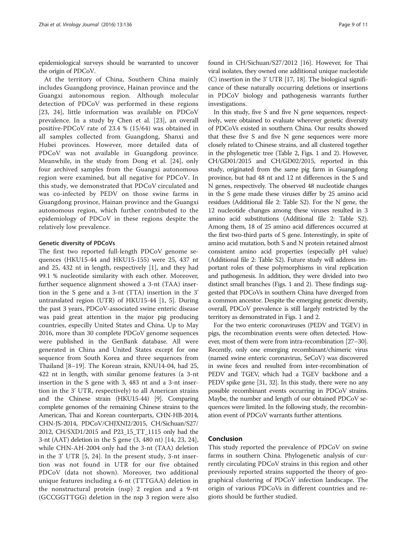epidemiological surveys should be warranted to uncover the origin of PDCoV.

At the territory of China, Southern China mainly includes Guangdong province, Hainan province and the Guangxi autonomous region. Although molecular detection of PDCoV was performed in these regions [[23, 24](#page-9-0)], little information was available on PDCoV prevalence. In a study by Chen et al. [\[23](#page-9-0)], an overall positive-PDCoV rate of 23.4 % (15/64) was obtained in all samples collected from Guangdong, Shanxi and Hubei provinces. However, more detailed data of PDCoV was not available in Guangdong province. Meanwhile, in the study from Dong et al. [\[24](#page-9-0)], only four archived samples from the Guangxi autonomous region were examined, but all negative for PDCoV. In this study, we demonstrated that PDCoV circulated and was co-infected by PEDV on those swine farms in Guangdong province, Hainan province and the Guangxi autonomous region, which further contributed to the epidemiology of PDCoV in these regions despite the relatively low prevalence.

#### Genetic diversity of PDCoVs

The first two reported full-length PDCoV genome sequences (HKU15-44 and HKU15-155) were 25, 437 nt and 25, 432 nt in length, respectively [\[1](#page-9-0)], and they had 99.1 % nucleotide similarity with each other. Moreover, further sequence alignment showed a 3-nt (TAA) insertion in the S gene and a 3-nt (TTA) insertion in the 3' untranslated region (UTR) of HKU15-44 [\[1](#page-9-0), [5](#page-9-0)]. During the past 3 years, PDCoV-associated swine enteric disease was paid great attention in the major pig producing countries, especilly United States and China. Up to May 2016, more than 30 complete PDCoV genome sequences were published in the GenBank database. All were generated in China and United States except for one sequence from South Korea and three sequences from Thailand [[8](#page-9-0)–[19](#page-9-0)]. The Korean strain, KNU14-04, had 25, 422 nt in length, with similar genome features (a 3-nt insertion in the S gene with 3, 483 nt and a 3-nt insertion in the 3' UTR, respectively) to all American strains and the Chinese strain (HKU15-44) [\[9\]](#page-9-0). Comparing complete genomes of the remaining Chinese strains to the American, Thai and Korean counterparts, CHN-HB-2014, CHN-JS-2014, PDCoV/CHJXNI2/2015, CH/Sichuan/S27/ 2012, CH/SXD1/2015 and P23\_15\_TT\_1115 only had the 3-nt (AAT) deletion in the S gene (3, 480 nt) [[14, 23, 24](#page-9-0)], while CHN-AH-2004 only had the 3-nt (TAA) deletion in the 3' UTR [\[5](#page-9-0), [24](#page-9-0)]. In the present study, 3-nt insertion was not found in UTR for our five obtained PDCoV (data not shown). Moreover, two additional unique features including a 6-nt (TTTGAA) deletion in the nonstructural protein (nsp) 2 region and a 9-nt (GCCGGTTGG) deletion in the nsp 3 region were also

found in CH/Sichuan/S27/2012 [[16\]](#page-9-0). However, for Thai viral isolates, they owned one additional unique nucleotide (C) insertion in the 3' UTR [\[17](#page-9-0), [18\]](#page-9-0). The biological significance of these naturally occurring deletions or insertions in PDCoV biology and pathogenesis warrants further investigations.

In this study, five S and five N gene sequences, respectively, were obtained to evaluate wherever genetic diversity of PDCoVs existed in southern China. Our results showed that these five S and five N gene sequences were more closely related to Chinese strains, and all clustered together in the phylogenetic tree (Table [2,](#page-4-0) Figs. [1](#page-6-0) and [2](#page-7-0)). However, CH/GD01/2015 and CH/GD02/2015, reported in this study, originated from the same pig farm in Guangdong province, but had 48 nt and 12 nt differences in the S and N genes, respectively. The observed 48 nucleotide changes in the S gene made these viruses differ by 25 amino acid residues (Additional file [2:](#page-9-0) Table S2). For the N gene, the 12 nucleotide changes among these viruses resulted in 3 amino acid substitutions (Additional file [2:](#page-9-0) Table S2). Among them, 18 of 25 amino acid differences occurred at the first two-third parts of S gene. Interestingly, in spite of amino acid mutation, both S and N protein retained almost consistent amino acid properties (especially pH value) (Additional file [2](#page-9-0): Table S2). Future study will address important roles of these polymorphisms in viral replication and pathogenesis. In addition, they were divided into two distinct small branches (Figs. [1](#page-6-0) and [2\)](#page-7-0). These findings suggested that PDCoVs in southern China have diverged from a common ancestor. Despite the emerging genetic diversity, overall, PDCoV prevalence is still largely restricted by the territory as demonstrated in Figs. [1](#page-6-0) and [2](#page-7-0).

For the two enteric coronaviruses (PEDV and TGEV) in pigs, the recombination events were often detected. However, most of them were from intra-recombination [[27](#page-9-0)–[30](#page-10-0)]. Recently, only one emerging recombinant/chimeric virus (named swine enteric coronavirus, SeCoV) was discovered in swine feces and resulted from inter-recombination of PEDV and TGEV, which had a TGEV backbone and a PEDV spike gene [\[31](#page-10-0), [32](#page-10-0)]. In this study, there were no any possible recombinant events occurring in PDCoV strains. Maybe, the number and length of our obtained PDCoV sequences were limited. In the following study, the recombination event of PDCoV warrants further attentions.

## Conclusion

This study reported the prevalence of PDCoV on swine farms in southern China. Phylogenetic analysis of currently circulating PDCoV strains in this region and other previously reported strains supported the theory of geographical clustering of PDCoV infection landscape. The origin of various PDCoVs in different countries and regions should be further studied.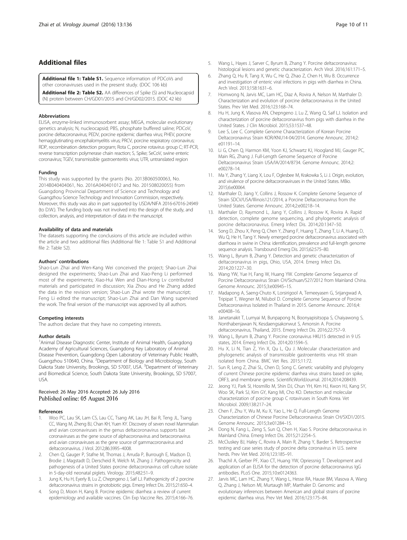## <span id="page-9-0"></span>Additional files

[Additional file 1: Table S1.](dx.doi.org/10.1186/s12985-016-0591-6) Sequence information of PDCoVs and other coronaviruses used in the present study. (DOC 106 kb)

[Additional file 2: Table S2.](dx.doi.org/10.1186/s12985-016-0591-6) AA differences of Spike (S) and Nucleocapsid (N) protein between CH/GD01/2015 and CH/GD02/2015. (DOC 42 kb)

#### **Abbreviations**

ELISA, enzyme-linked immunosorbent assay; MEGA, molecular evolutionary genetics analysis; N, nucleocapsid; PBS, phosphate buffered saline; PDCoV, porcine deltacoronavirus; PEDV, porcine epidemic diarrhea virus; PHEV, porcine hemagglutinating encephalomyelitis virus; PRCV, porcine respiratory coronavirus; RDP, recombination detection program; Rota C, porcine rotavirus group C; RT-PCR, reverse transcription polymerase chain reaction; S, Spike; SeCoV, swine enteric coronavirus; TGEV, transmissible gastroenteritis virus; UTR, untranslated region

#### Funding

This study was supported by the grants (No. 2013B060500063, No. 2014B040404061, No. 2016A040401012 and No. 201508020055) from Guangdong Provincial Department of Science and Technology and Guangzhou Science Technology and Innovation Commission, respectively. Moreover, this study was also in part supported by USDA/NIFA 2016-67016-24949 (to D.W.). The funding body was not involved into the design of the study, and collection, analysis, and interpretation of data in the manuscript.

#### Availability of data and materials

The datasets supporting the conclusions of this article are included within the article and two additional files (Additional file 1: Table S1 and Additional file 2: Table S2).

#### Authors' contributions

Shao-Lun Zhai and Wen-Kang Wei conceived the project; Shao-Lun Zhai designed the experiments; Shao-Lun Zhai and Xiao-Peng Li performed most of the experiments; Xiao-Hui Wen and Dian-Hong Lv contributed materials and participated in discussion; Xia Zhou and He Zhang added the data in the revision version; Shao-Lun Zhai wrote the manuscript; Feng Li edited the manuscript; Shao-Lun Zhai and Dan Wang supervised the work. The final version of the manuscript was approved by all authors.

#### Competing interests

The authors declare that they have no competing interests.

#### Author details

<sup>1</sup> Animal Disease Diagnostic Center, Institute of Animal Health, Guangdong Academy of Agricultural Sciences, Guangdong Key Laboratory of Animal Disease Prevention, Guangdong Open Laboratory of Veterinary Public Health, Guangzhou 510640, China. <sup>2</sup>Department of Biology and Microbiology, South Dakota State University, Brookings, SD 57007, USA. <sup>3</sup>Department of Veterinary and Biomedical Science, South Dakota State University, Brookings, SD 57007, USA.

#### Received: 26 May 2016 Accepted: 26 July 2016 Published online: 05 August 2016

#### References

- 1. Woo PC, Lau SK, Lam CS, Lau CC, Tsang AK, Lau JH, Bai R, Teng JL, Tsang CC, Wang M, Zheng BJ, Chan KH, Yuen KY. Discovery of seven novel Mammalian and avian coronaviruses in the genus deltacoronavirus supports bat coronaviruses as the gene source of alphacoronavirus and betacoronavirus and avian coronaviruses as the gene source of gammacoronavirus and deltacoronavirus. J Virol. 2012;86:3995–4008.
- 2. Chen Q, Gauger P, Stafne M, Thomas J, Arruda P, Burrough E, Madson D, Brodie J, Magstadt D, Derscheid R, Welch M, Zhang J. Pathogenicity and pathogenesis of a United States porcine deltacoronavirus cell culture isolate in 5-day-old neonatal piglets. Virology. 2015;482:51–9.
- 3. Jung K, Hu H, Eyerly B, Lu Z, Chepngeno J, Saif LJ. Pathogenicity of 2 porcine deltacoronavirus strains in gnotobiotic pigs. Emerg Infect Dis. 2015;21:650–4.
- 4. Song D, Moon H, Kang B. Porcine epidemic diarrhea: a review of current epidemiology and available vaccines. Clin Exp Vaccine Res. 2015;4:166–76.
- 5. Wang L, Hayes J, Sarver C, Byrum B, Zhang Y. Porcine deltacoronavirus: histological lesions and genetic characterization. Arch Virol. 2016;161:171–5.
- 6. Zhang Q, Hu R, Tang X, Wu C, He Q, Zhao Z, Chen H, Wu B. Occurrence and investigation of enteric viral infections in pigs with diarrhea in China. Arch Virol. 2013;158:1631–6.
- 7. Homwong N, Jarvis MC, Lam HC, Diaz A, Rovira A, Nelson M, Marthaler D. Characterization and evolution of porcine deltacoronavirus in the United States. Prev Vet Med. 2016;123:168–74.
- 8. Hu H, Jung K, Vlasova AN, Chepngeno J, Lu Z, Wang Q, Saif LJ. Isolation and characterization of porcine deltacoronavirus from pigs with diarrhea in the United States. J Clin Microbiol. 2015;53:1537–48.
- 9. Lee S, Lee C. Complete Genome Characterization of Korean Porcine Deltacoronavirus Strain KOR/KNU14-04/2014. Genome Announc. 2014;2: e01191–14.
- 10. Li G, Chen Q, Harmon KM, Yoon KJ, Schwartz KJ, Hoogland MJ, Gauger PC, Main RG, Zhang J. Full-Length Genome Sequence of Porcine Deltacoronavirus Strain USA/IA/2014/8734. Genome Announc. 2014;2: e00278–14.
- 11. Ma Y, Zhang Y, Liang X, Lou F, Oglesbee M, Krakowka S, Li J. Origin, evolution, and virulence of porcine deltacoronaviruses in the United States. MBio. 2015;6:e00064.
- 12. Marthaler D, Jiang Y, Collins J, Rossow K. Complete Genome Sequence of Strain SDCV/USA/Illinois121/2014, a Porcine Deltacoronavirus from the United States. Genome Announc. 2014;2:e00218–14.
- 13. Marthaler D, Raymond L, Jiang Y, Collins J, Rossow K, Rovira A. Rapid detection, complete genome sequencing, and phylogenetic analysis of porcine deltacoronavirus. Emerg Infect Dis. 2014;20:1347–50.
- 14. Song D, Zhou X, Peng Q, Chen Y, Zhang F, Huang T, Zhang T, Li A, Huang D, Wu Q, He H, Tang Y. Newly emerged porcine deltacoronavirus associated with diarrhoea in swine in China: identification, prevalence and full-length genome sequence analysis. Transbound Emerg Dis. 2015;62:575–80.
- 15. Wang L, Byrum B, Zhang Y. Detection and genetic characterization of deltacoronavirus in pigs, Ohio, USA, 2014. Emerg Infect Dis. 2014;20:1227–30.
- 16. Wang YW, Yue H, Fang W, Huang YW. Complete Genome Sequence of Porcine Deltacoronavirus Strain CH/Sichuan/S27/2012 from Mainland China. Genome Announc. 2015;3:e00945–15.
- 17. Madapong A, Saeng-Chuto K, Lorsirigool A, Temeeyasen G, Srijangwad A, Tripipat T, Wegner M, Nilubol D. Complete Genome Sequence of Porcine Deltacoronavirus Isolated in Thailand in 2015. Genome Announc. 2016;4: e00408–16.
- 18. Janetanakit T, Lumyai M, Bunpapong N, Boonyapisitsopa S, Chaiyawong S, Nonthabenjawan N, Kesdaengsakonwut S, Amonsin A. Porcine deltacoronavirus, Thailand, 2015. Emerg Infect Dis. 2016;22:757–9.
- 19. Wang L, Byrum B, Zhang Y. Porcine coronavirus HKU15 detected in 9 US states, 2014. Emerg Infect Dis. 2014;20:1594–5.
- 20. Hu X, Li N, Tian Z, Yin X, Qu L, Qu J. Molecular characterization and phylogenetic analysis of transmissible gastroenteritis virus HX strain isolated from China. BMC Vet Res. 2015;11:72.
- 21. Sun R, Leng Z, Zhai SL, Chen D, Song C. Genetic variability and phylogeny of current Chinese porcine epidemic diarrhea virus strains based on spike, ORF3, and membrane genes. ScientificWorldJournal. 2014;2014:208439.
- 22. Jeong YJ, Park SI, Hosmillo M, Shin DJ, Chun YH, Kim HJ, Kwon HJ, Kang SY, Woo SK, Park SJ, Kim GY, Kang MI, Cho KO. Detection and molecular characterization of porcine group C rotaviruses in South Korea. Vet Microbiol. 2009;138:217–24.
- 23. Chen F, Zhu Y, Wu M, Ku X, Yao L, He Q. Full-Length Genome Characterization of Chinese Porcine Deltacoronavirus Strain CH/SXD1/2015. Genome Announc. 2015;3:e01284–15.
- 24. Dong N, Fang L, Zeng S, Sun Q, Chen H, Xiao S. Porcine deltacoronavirus in Mainland China. Emerg Infect Dis. 2015;21:2254–5.
- 25. McCluskey BJ, Haley C, Rovira A, Main R, Zhang Y, Barder S. Retrospective testing and case series study of porcine delta coronavirus in U.S. swine herds. Prev Vet Med. 2016;123:185–91.
- 26. Thachil A, Gerber PF, Xiao CT, Huang YW, Opriessnig T. Development and application of an ELISA for the detection of porcine deltacoronavirus IgG antibodies. PLoS One. 2015;10:e0124363.
- 27. Jarvis MC, Lam HC, Zhang Y, Wang L, Hesse RA, Hause BM, Vlasova A, Wang Q, Zhang J, Nelson MI, Murtaugh MP, Marthaler D. Genomic and evolutionary inferences between American and global strains of porcine epidemic diarrhea virus. Prev Vet Med. 2016;123:175–84.